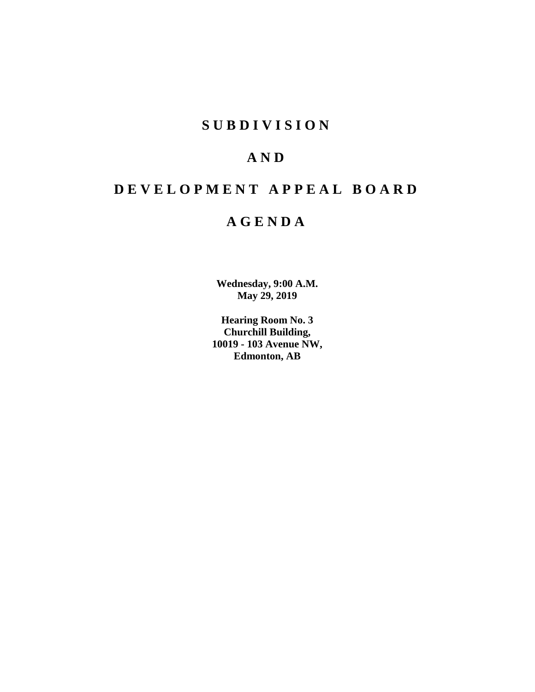# **S U B D I V I S I O N**

# **A N D**

# **D E V E L O P M E N T A P P E A L B O A R D**

# **A G E N D A**

**Wednesday, 9:00 A.M. May 29, 2019**

**Hearing Room No. 3 Churchill Building, 10019 - 103 Avenue NW, Edmonton, AB**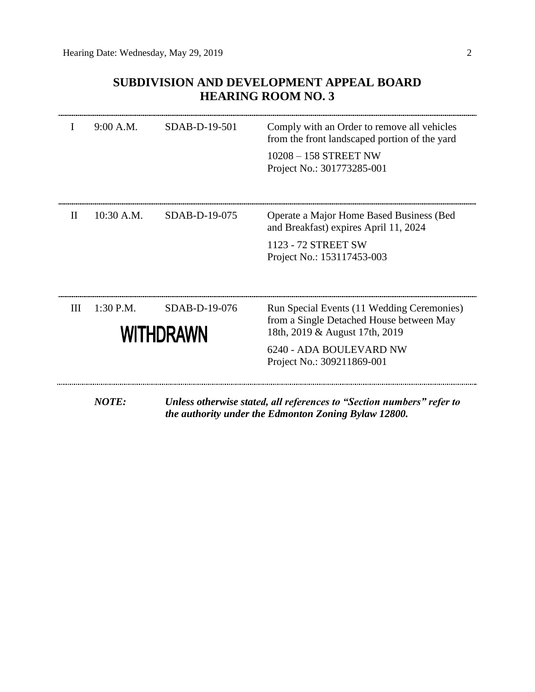# **SUBDIVISION AND DEVELOPMENT APPEAL BOARD HEARING ROOM NO. 3**

|              | 9:00 A.M.                                      | SDAB-D-19-501   | Comply with an Order to remove all vehicles<br>from the front landscaped portion of the yard<br>$10208 - 158$ STREET NW<br>Project No.: 301773285-001                             |
|--------------|------------------------------------------------|-----------------|-----------------------------------------------------------------------------------------------------------------------------------------------------------------------------------|
| $\mathbf{H}$ | 10:30 A.M.                                     | $SDAB-D-19-075$ | Operate a Major Home Based Business (Bed<br>and Breakfast) expires April 11, 2024<br>1123 - 72 STREET SW<br>Project No.: 153117453-003                                            |
| Ш            | 1:30 P.M.<br>SDAB-D-19-076<br><b>WITHDRAWN</b> |                 | Run Special Events (11 Wedding Ceremonies)<br>from a Single Detached House between May<br>18th, 2019 & August 17th, 2019<br>6240 - ADA BOULEVARD NW<br>Project No.: 309211869-001 |
|              | <b>NOTE:</b>                                   |                 | Unless otherwise stated, all references to "Section numbers" refer to<br>the authority under the Edmonton Zoning Bylaw 12800.                                                     |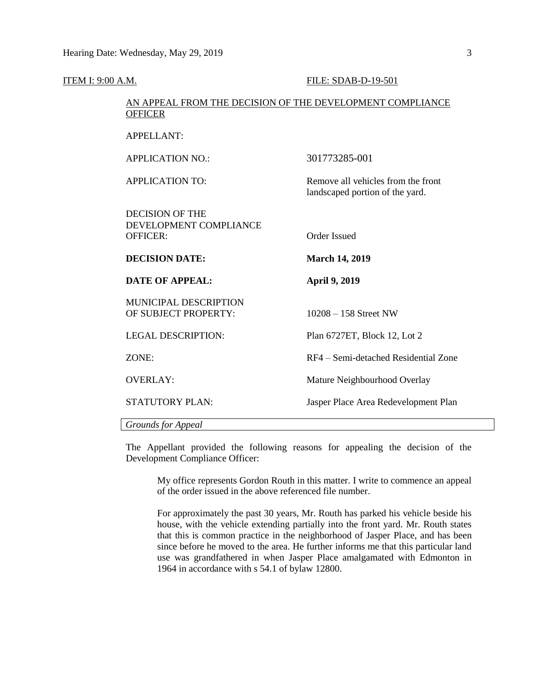| ITEM I: 9:00 A.M. |                                                                             | FILE: SDAB-D-19-501                                                   |  |  |
|-------------------|-----------------------------------------------------------------------------|-----------------------------------------------------------------------|--|--|
|                   | AN APPEAL FROM THE DECISION OF THE DEVELOPMENT COMPLIANCE<br><b>OFFICER</b> |                                                                       |  |  |
|                   | <b>APPELLANT:</b>                                                           |                                                                       |  |  |
|                   | <b>APPLICATION NO.:</b>                                                     | 301773285-001                                                         |  |  |
|                   | <b>APPLICATION TO:</b>                                                      | Remove all vehicles from the front<br>landscaped portion of the yard. |  |  |
|                   | <b>DECISION OF THE</b><br>DEVELOPMENT COMPLIANCE<br><b>OFFICER:</b>         | <b>Order Issued</b>                                                   |  |  |
|                   | <b>DECISION DATE:</b>                                                       | <b>March 14, 2019</b>                                                 |  |  |
|                   | <b>DATE OF APPEAL:</b>                                                      | <b>April 9, 2019</b>                                                  |  |  |
|                   | MUNICIPAL DESCRIPTION<br>OF SUBJECT PROPERTY:                               | $10208 - 158$ Street NW                                               |  |  |
|                   | <b>LEGAL DESCRIPTION:</b>                                                   | Plan 6727ET, Block 12, Lot 2                                          |  |  |
|                   | ZONE:                                                                       | RF4 – Semi-detached Residential Zone                                  |  |  |
|                   | <b>OVERLAY:</b>                                                             | Mature Neighbourhood Overlay                                          |  |  |
|                   | <b>STATUTORY PLAN:</b>                                                      | Jasper Place Area Redevelopment Plan                                  |  |  |
|                   | Grounds for Appeal                                                          |                                                                       |  |  |

The Appellant provided the following reasons for appealing the decision of the Development Compliance Officer:

My office represents Gordon Routh in this matter. I write to commence an appeal of the order issued in the above referenced file number.

For approximately the past 30 years, Mr. Routh has parked his vehicle beside his house, with the vehicle extending partially into the front yard. Mr. Routh states that this is common practice in the neighborhood of Jasper Place, and has been since before he moved to the area. He further informs me that this particular land use was grandfathered in when Jasper Place amalgamated with Edmonton in 1964 in accordance with s 54.1 of bylaw 12800.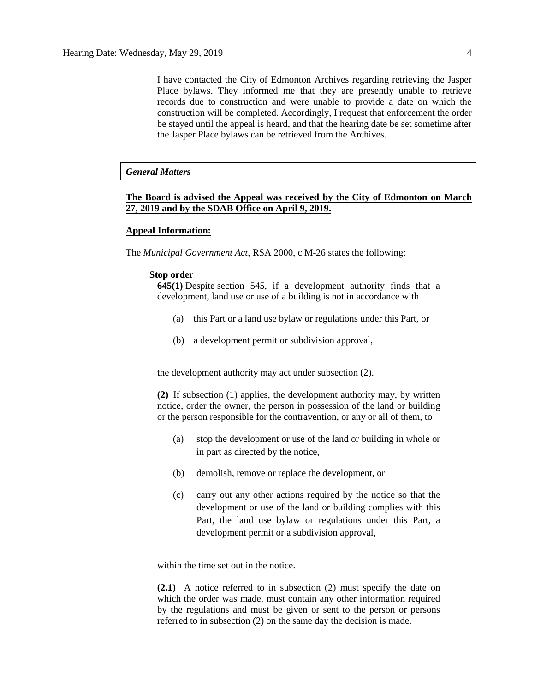I have contacted the City of Edmonton Archives regarding retrieving the Jasper Place bylaws. They informed me that they are presently unable to retrieve records due to construction and were unable to provide a date on which the construction will be completed. Accordingly, I request that enforcement the order be stayed until the appeal is heard, and that the hearing date be set sometime after the Jasper Place bylaws can be retrieved from the Archives.

# *General Matters*

# **The Board is advised the Appeal was received by the City of Edmonton on March 27, 2019 and by the SDAB Office on April 9, 2019.**

## **Appeal Information:**

The *Municipal Government Act*, RSA 2000, c M-26 states the following:

#### **Stop order**

**645(1)** Despite [section](https://www.canlii.org/en/ab/laws/stat/rsa-2000-c-m-26/latest/rsa-2000-c-m-26.html#sec545_smooth) 545, if a development authority finds that a development, land use or use of a building is not in accordance with

- (a) this Part or a land use bylaw or regulations under this Part, or
- (b) a development permit or subdivision approval,

the development authority may act under subsection (2).

**(2)** If subsection (1) applies, the development authority may, by written notice, order the owner, the person in possession of the land or building or the person responsible for the contravention, or any or all of them, to

- (a) stop the development or use of the land or building in whole or in part as directed by the notice,
- (b) demolish, remove or replace the development, or
- (c) carry out any other actions required by the notice so that the development or use of the land or building complies with this Part, the land use bylaw or regulations under this Part, a development permit or a subdivision approval,

within the time set out in the notice.

**(2.1)** A notice referred to in subsection (2) must specify the date on which the order was made, must contain any other information required by the regulations and must be given or sent to the person or persons referred to in subsection (2) on the same day the decision is made.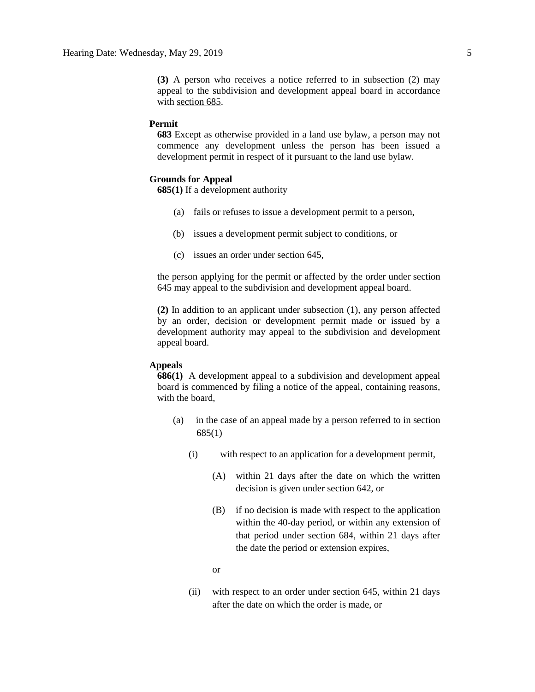**(3)** A person who receives a notice referred to in subsection (2) may appeal to the subdivision and development appeal board in accordance with [section 685.](https://www.canlii.org/en/ab/laws/stat/rsa-2000-c-m-26/latest/rsa-2000-c-m-26.html#sec685_smooth)

## **Permit**

**683** Except as otherwise provided in a land use bylaw, a person may not commence any development unless the person has been issued a development permit in respect of it pursuant to the land use bylaw.

## **Grounds for Appeal**

**685(1)** If a development authority

- (a) fails or refuses to issue a development permit to a person,
- (b) issues a development permit subject to conditions, or
- (c) issues an order under section 645,

the person applying for the permit or affected by the order under section 645 may appeal to the subdivision and development appeal board.

**(2)** In addition to an applicant under subsection (1), any person affected by an order, decision or development permit made or issued by a development authority may appeal to the subdivision and development appeal board.

# **Appeals**

**686(1)** A development appeal to a subdivision and development appeal board is commenced by filing a notice of the appeal, containing reasons, with the board,

- (a) in the case of an appeal made by a person referred to in section 685(1)
	- (i) with respect to an application for a development permit,
		- (A) within 21 days after the date on which the written decision is given under section 642, or
		- (B) if no decision is made with respect to the application within the 40-day period, or within any extension of that period under section 684, within 21 days after the date the period or extension expires,

or

(ii) with respect to an order under section 645, within 21 days after the date on which the order is made, or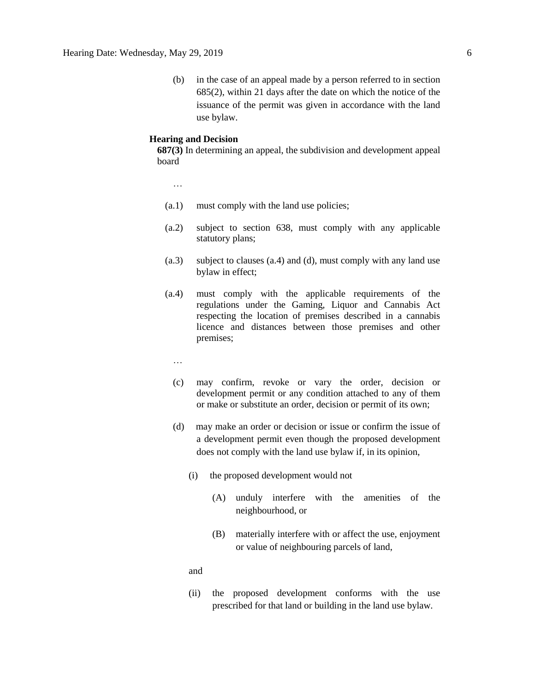(b) in the case of an appeal made by a person referred to in section 685(2), within 21 days after the date on which the notice of the issuance of the permit was given in accordance with the land use bylaw.

## **Hearing and Decision**

**687(3)** In determining an appeal, the subdivision and development appeal board

…

- (a.1) must comply with the land use policies;
- (a.2) subject to section 638, must comply with any applicable statutory plans;
- (a.3) subject to clauses (a.4) and (d), must comply with any land use bylaw in effect;
- (a.4) must comply with the applicable requirements of the regulations under the Gaming, Liquor and Cannabis Act respecting the location of premises described in a cannabis licence and distances between those premises and other premises;
	- …
	- (c) may confirm, revoke or vary the order, decision or development permit or any condition attached to any of them or make or substitute an order, decision or permit of its own;
	- (d) may make an order or decision or issue or confirm the issue of a development permit even though the proposed development does not comply with the land use bylaw if, in its opinion,
		- (i) the proposed development would not
			- (A) unduly interfere with the amenities of the neighbourhood, or
			- (B) materially interfere with or affect the use, enjoyment or value of neighbouring parcels of land,

and

(ii) the proposed development conforms with the use prescribed for that land or building in the land use bylaw.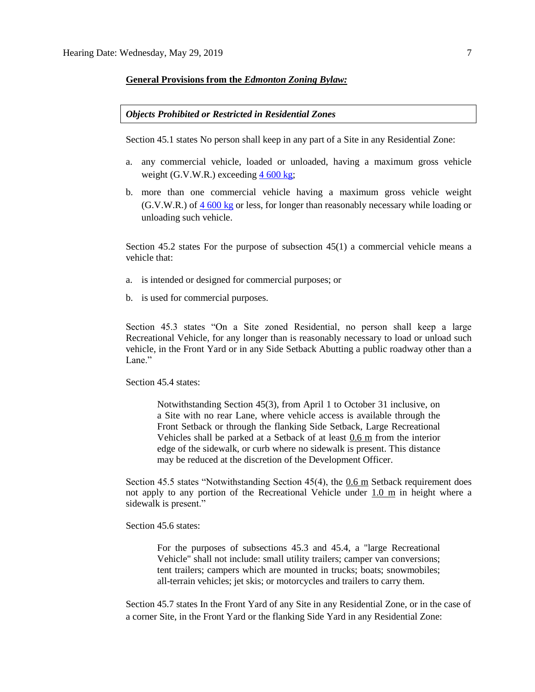### **General Provisions from the** *Edmonton Zoning Bylaw:*

## *Objects Prohibited or Restricted in Residential Zones*

Section 45.1 states No person shall keep in any part of a Site in any Residential Zone:

- a. any commercial vehicle, loaded or unloaded, having a maximum gross vehicle weight (G.V.W.R.) exceeding  $4\,600\,\text{kg}$  $4\,600\,\text{kg}$  $4\,600\,\text{kg}$ ;
- b. more than one commercial vehicle having a maximum gross vehicle weight (G.V.W.R.) of 4 [600](javascript:void(0);) kg or less, for longer than reasonably necessary while loading or unloading such vehicle.

Section 45.2 states For the purpose of subsection 45(1) a commercial vehicle means a vehicle that:

- a. is intended or designed for commercial purposes; or
- b. is used for commercial purposes.

Section 45.3 states "On a Site zoned Residential, no person shall keep a large Recreational Vehicle, for any longer than is reasonably necessary to load or unload such vehicle, in the Front Yard or in any Side Setback Abutting a public roadway other than a Lane."

Section 45.4 states:

Notwithstanding Section 45(3), from April 1 to October 31 inclusive, on a Site with no rear Lane, where vehicle access is available through the Front Setback or through the flanking Side Setback, Large Recreational Vehicles shall be parked at a Setback of at least 0.6 m from the interior edge of the sidewalk, or curb where no sidewalk is present. This distance may be reduced at the discretion of the Development Officer.

Section 45.5 states "Notwithstanding Section 45(4), the 0.6 m Setback requirement does not apply to any portion of the Recreational Vehicle under 1.0 m in height where a sidewalk is present."

Section 45.6 states:

For the purposes of subsections 45.3 and 45.4, a "large Recreational Vehicle" shall not include: small utility trailers; camper van conversions; tent trailers; campers which are mounted in trucks; boats; snowmobiles; all-terrain vehicles; jet skis; or motorcycles and trailers to carry them.

Section 45.7 states In the Front Yard of any Site in any Residential Zone, or in the case of a corner Site, in the Front Yard or the flanking Side Yard in any Residential Zone: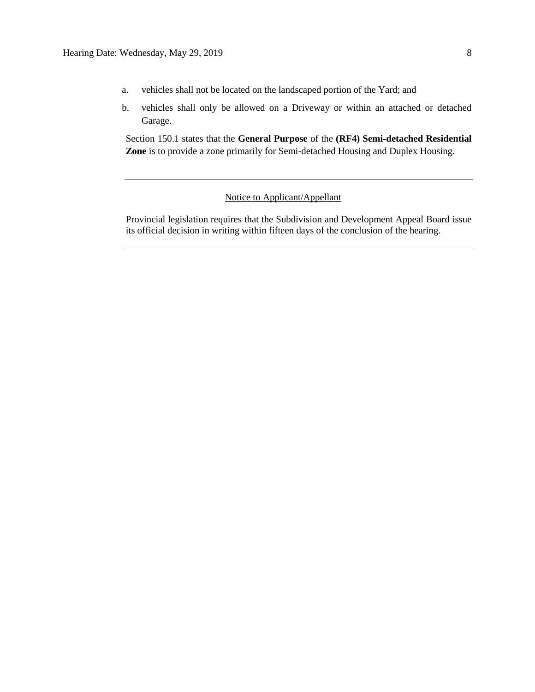- a. vehicles shall not be located on the landscaped portion of the Yard; and
- b. vehicles shall only be allowed on a Driveway or within an attached or detached Garage.

Section 150.1 states that the **General Purpose** of the **(RF4) Semi-detached Residential Zone** is to provide a zone primarily for Semi-detached Housing and Duplex Housing.

# Notice to Applicant/Appellant

Provincial legislation requires that the Subdivision and Development Appeal Board issue its official decision in writing within fifteen days of the conclusion of the hearing.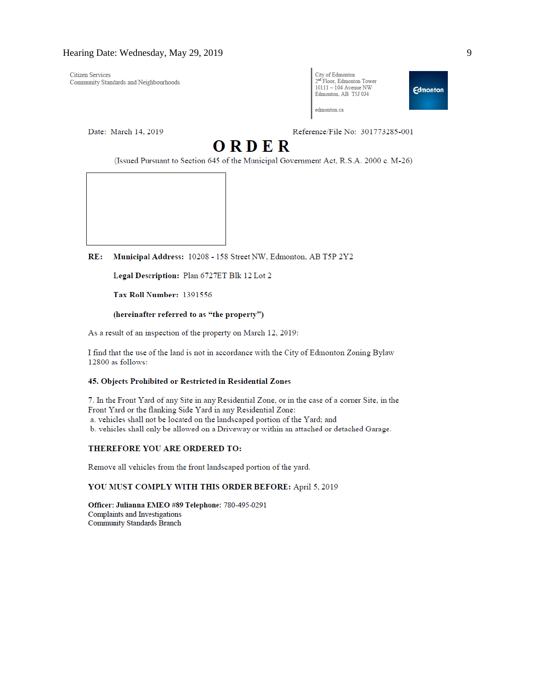**Citizen Services** Community Standards and Neighbourhoods

Date: March 14, 2019

Reference/File No: 301773285-001

City of Edmonton

edmonton ca

2<sup>nd</sup> Floor, Edmonton Tower

 $10111 - 104$  Avenue NW

Edmonton, AB T5J 0J4

# ORDER

(Issued Pursuant to Section 645 of the Municipal Government Act, R.S.A. 2000 c. M-26)

Municipal Address: 10208 - 158 Street NW, Edmonton, AB T5P 2Y2  $RE:$ 

Legal Description: Plan 6727ET Blk 12 Lot 2

Tax Roll Number: 1391556

#### (hereinafter referred to as "the property")

As a result of an inspection of the property on March 12, 2019:

I find that the use of the land is not in accordance with the City of Edmonton Zoning Bylaw 12800 as follows:

### 45. Objects Prohibited or Restricted in Residential Zones

7. In the Front Yard of any Site in any Residential Zone, or in the case of a corner Site, in the Front Yard or the flanking Side Yard in any Residential Zone: a. vehicles shall not be located on the landscaped portion of the Yard; and b. vehicles shall only be allowed on a Driveway or within an attached or detached Garage.

#### THEREFORE YOU ARE ORDERED TO:

Remove all vehicles from the front landscaped portion of the yard.

#### YOU MUST COMPLY WITH THIS ORDER BEFORE: April 5, 2019

Officer: Julianna EMEO #89 Telephone: 780-495-0291 **Complaints and Investigations** Community Standards Branch

**Edmonton**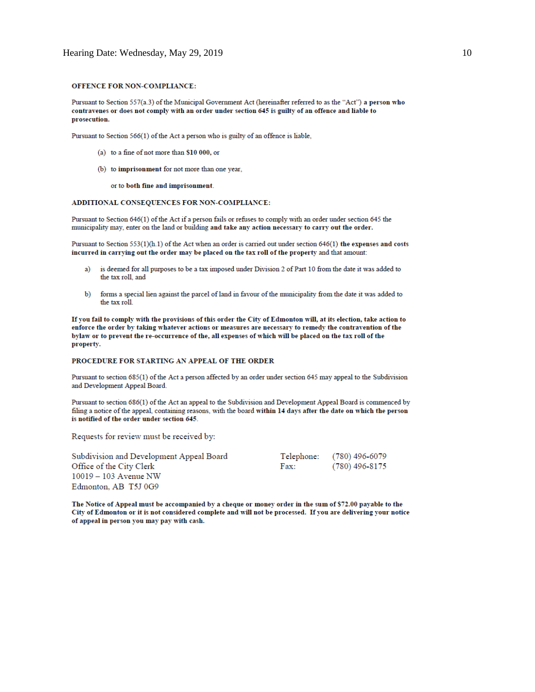#### **OFFENCE FOR NON-COMPLIANCE:**

Pursuant to Section 557(a.3) of the Municipal Government Act (hereinafter referred to as the "Act") a person who contravenes or does not comply with an order under section 645 is guilty of an offence and liable to prosecution.

Pursuant to Section 566(1) of the Act a person who is guilty of an offence is liable,

- (a) to a fine of not more than \$10 000, or
- (b) to imprisonment for not more than one year,

or to both fine and imprisonment.

#### ADDITIONAL CONSEQUENCES FOR NON-COMPLIANCE:

Pursuant to Section 646(1) of the Act if a person fails or refuses to comply with an order under section 645 the municipality may, enter on the land or building and take any action necessary to carry out the order.

Pursuant to Section 553(1)(h.1) of the Act when an order is carried out under section 646(1) the expenses and costs incurred in carrying out the order may be placed on the tax roll of the property and that amount:

- is deemed for all purposes to be a tax imposed under Division 2 of Part 10 from the date it was added to a) the tax roll, and
- forms a special lien against the parcel of land in favour of the municipality from the date it was added to  $b)$ the tax roll.

If you fail to comply with the provisions of this order the City of Edmonton will, at its election, take action to enforce the order by taking whatever actions or measures are necessary to remedy the contravention of the bylaw or to prevent the re-occurrence of the, all expenses of which will be placed on the tax roll of the property.

### PROCEDURE FOR STARTING AN APPEAL OF THE ORDER

Pursuant to section 685(1) of the Act a person affected by an order under section 645 may appeal to the Subdivision and Development Appeal Board.

Pursuant to section 686(1) of the Act an appeal to the Subdivision and Development Appeal Board is commenced by filing a notice of the appeal, containing reasons, with the board within 14 days after the date on which the person is notified of the order under section 645.

Requests for review must be received by:

| Subdivision and Development Appeal Board |      | Telephone: (780) 496-6079 |
|------------------------------------------|------|---------------------------|
| Office of the City Clerk                 | Fax: | (780) 496-8175            |
| $10019 - 103$ Avenue NW                  |      |                           |
| Edmonton, AB T5J 0G9                     |      |                           |

The Notice of Appeal must be accompanied by a cheque or money order in the sum of \$72.00 payable to the City of Edmonton or it is not considered complete and will not be processed. If you are delivering your notice of appeal in person you may pay with cash.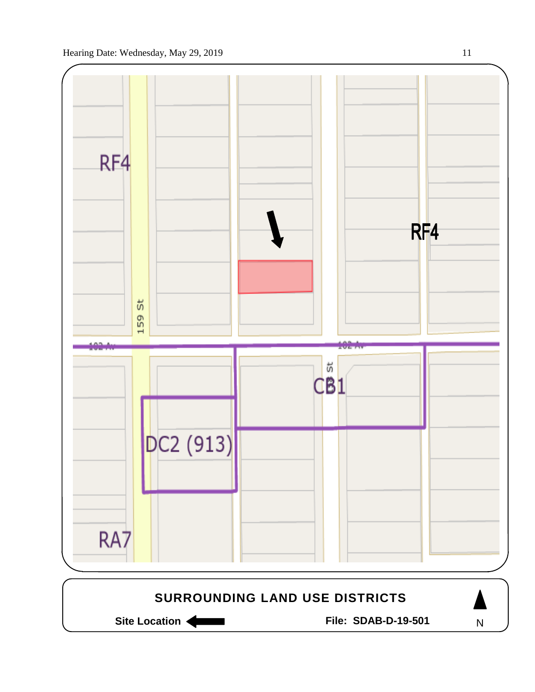

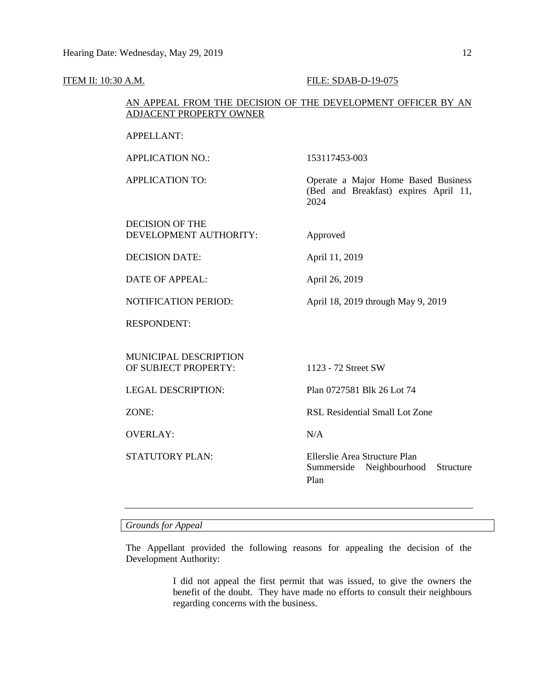#### **ITEM II: 10:30 A.M. FILE: SDAB-D-19-075**

# AN APPEAL FROM THE DECISION OF THE DEVELOPMENT OFFICER BY AN ADJACENT PROPERTY OWNER

## APPELLANT:

APPLICATION NO.: 153117453-003

APPLICATION TO: Operate a Major Home Based Business

DECISION OF THE

(Bed and Breakfast) expires April 11, 2024

DEVELOPMENT AUTHORITY: Approved

DECISION DATE: April 11, 2019

DATE OF APPEAL: April 26, 2019

NOTIFICATION PERIOD: April 18, 2019 through May 9, 2019

RESPONDENT:

MUNICIPAL DESCRIPTION OF SUBJECT PROPERTY: 1123 - 72 Street SW

OVERLAY: N/A

LEGAL DESCRIPTION: Plan 0727581 Blk 26 Lot 74

ZONE: RSL Residential Small Lot Zone

STATUTORY PLAN: Ellerslie Area Structure Plan Summerside Neighbourhood Structure Plan

*Grounds for Appeal*

The Appellant provided the following reasons for appealing the decision of the Development Authority:

> I did not appeal the first permit that was issued, to give the owners the benefit of the doubt. They have made no efforts to consult their neighbours regarding concerns with the business.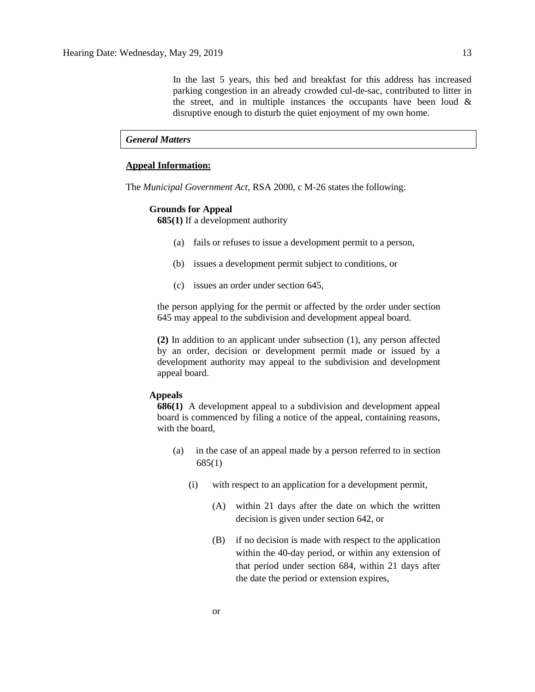In the last 5 years, this bed and breakfast for this address has increased parking congestion in an already crowded cul-de-sac, contributed to litter in the street, and in multiple instances the occupants have been loud  $\&$ disruptive enough to disturb the quiet enjoyment of my own home.

### *General Matters*

## **Appeal Information:**

The *Municipal Government Act*, RSA 2000, c M-26 states the following:

#### **Grounds for Appeal**

**685(1)** If a development authority

- (a) fails or refuses to issue a development permit to a person,
- (b) issues a development permit subject to conditions, or
- (c) issues an order under section 645,

the person applying for the permit or affected by the order under section 645 may appeal to the subdivision and development appeal board.

**(2)** In addition to an applicant under subsection (1), any person affected by an order, decision or development permit made or issued by a development authority may appeal to the subdivision and development appeal board.

# **Appeals**

**686(1)** A development appeal to a subdivision and development appeal board is commenced by filing a notice of the appeal, containing reasons, with the board,

- (a) in the case of an appeal made by a person referred to in section 685(1)
	- (i) with respect to an application for a development permit,
		- (A) within 21 days after the date on which the written decision is given under section 642, or
		- (B) if no decision is made with respect to the application within the 40-day period, or within any extension of that period under section 684, within 21 days after the date the period or extension expires,

or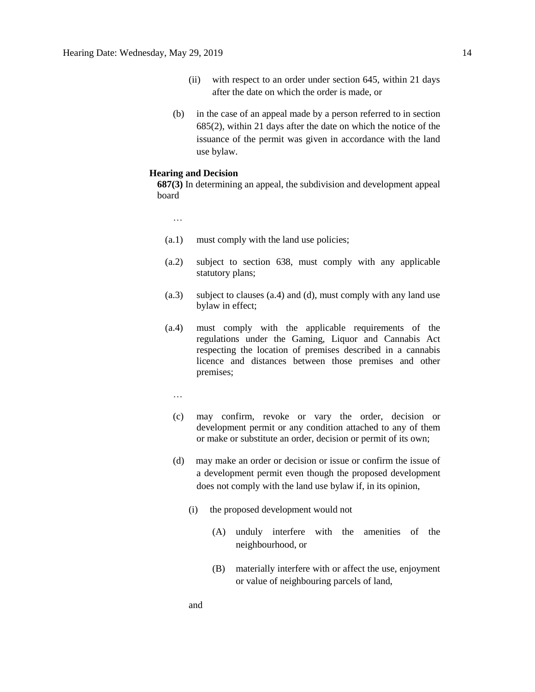- (ii) with respect to an order under section 645, within 21 days after the date on which the order is made, or
- (b) in the case of an appeal made by a person referred to in section 685(2), within 21 days after the date on which the notice of the issuance of the permit was given in accordance with the land use bylaw.

### **Hearing and Decision**

**687(3)** In determining an appeal, the subdivision and development appeal board

- …
- (a.1) must comply with the land use policies;
- (a.2) subject to section 638, must comply with any applicable statutory plans;
- (a.3) subject to clauses (a.4) and (d), must comply with any land use bylaw in effect;
- (a.4) must comply with the applicable requirements of the regulations under the Gaming, Liquor and Cannabis Act respecting the location of premises described in a cannabis licence and distances between those premises and other premises;
	- …
	- (c) may confirm, revoke or vary the order, decision or development permit or any condition attached to any of them or make or substitute an order, decision or permit of its own;
	- (d) may make an order or decision or issue or confirm the issue of a development permit even though the proposed development does not comply with the land use bylaw if, in its opinion,
		- (i) the proposed development would not
			- (A) unduly interfere with the amenities of the neighbourhood, or
			- (B) materially interfere with or affect the use, enjoyment or value of neighbouring parcels of land,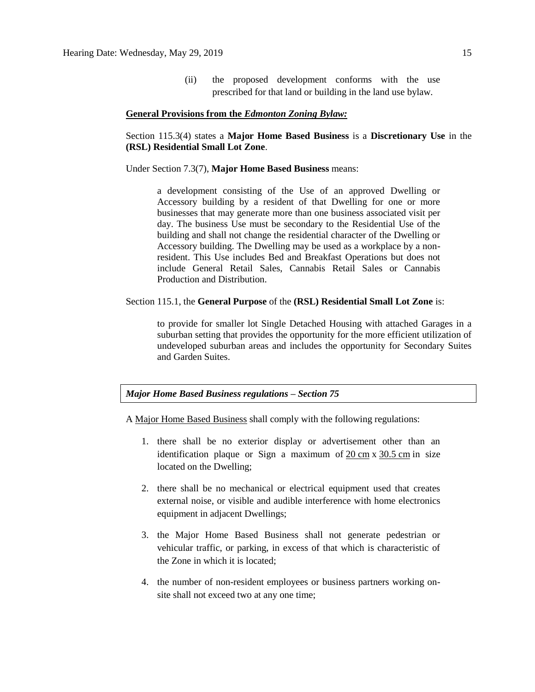(ii) the proposed development conforms with the use prescribed for that land or building in the land use bylaw.

### **General Provisions from the** *Edmonton Zoning Bylaw:*

# Section 115.3(4) states a **Major Home Based Business** is a **Discretionary Use** in the **(RSL) Residential Small Lot Zone**.

#### Under Section 7.3(7), **Major Home Based Business** means:

a development consisting of the Use of an approved Dwelling or Accessory building by a resident of that Dwelling for one or more businesses that may generate more than one business associated visit per day. The business Use must be secondary to the Residential Use of the building and shall not change the residential character of the Dwelling or Accessory building. The Dwelling may be used as a workplace by a nonresident. This Use includes Bed and Breakfast Operations but does not include General Retail Sales, Cannabis Retail Sales or Cannabis Production and Distribution.

### Section 115.1, the **General Purpose** of the **(RSL) Residential Small Lot Zone** is:

to provide for smaller lot Single Detached Housing with attached Garages in a suburban setting that provides the opportunity for the more efficient utilization of undeveloped suburban areas and includes the opportunity for Secondary Suites and Garden Suites.

### *Major Home Based Business regulations – Section 75*

A [Major Home Based Business](javascript:void(0);) shall comply with the following regulations:

- 1. there shall be no exterior display or advertisement other than an identification plaque or Sign a maximum of 20 [cm](javascript:void(0);) x [30.5](javascript:void(0);) cm in size located on the Dwelling;
- 2. there shall be no mechanical or electrical equipment used that creates external noise, or visible and audible interference with home electronics equipment in adjacent Dwellings;
- 3. the Major Home Based Business shall not generate pedestrian or vehicular traffic, or parking, in excess of that which is characteristic of the Zone in which it is located;
- 4. the number of non-resident employees or business partners working onsite shall not exceed two at any one time;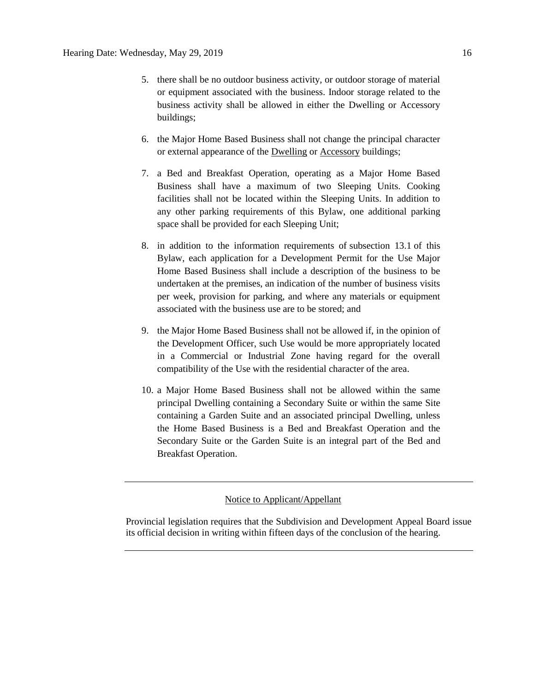- 5. there shall be no outdoor business activity, or outdoor storage of material or equipment associated with the business. Indoor storage related to the business activity shall be allowed in either the Dwelling or Accessory buildings;
- 6. the Major Home Based Business shall not change the principal character or external appearance of the [Dwelling](javascript:void(0);) or [Accessory](javascript:void(0);) buildings;
- 7. a Bed and Breakfast Operation, operating as a Major Home Based Business shall have a maximum of two Sleeping Units. Cooking facilities shall not be located within the Sleeping Units. In addition to any other parking requirements of this Bylaw, one additional parking space shall be provided for each Sleeping Unit;
- 8. in addition to the information requirements of [subsection 13.1](https://webdocs.edmonton.ca/InfraPlan/zoningbylaw/ZoningBylaw/Part1/Administrative/13__Development_Permit_Application.htm) of this Bylaw, each application for a Development Permit for the Use Major Home Based Business shall include a description of the business to be undertaken at the premises, an indication of the number of business visits per week, provision for parking, and where any materials or equipment associated with the business use are to be stored; and
- 9. the [Major Home Based Business](javascript:void(0);) shall not be allowed if, in the opinion of the Development Officer, such Use would be more appropriately located in a Commercial or Industrial Zone having regard for the overall compatibility of the Use with the residential character of the area.
- 10. a Major Home Based Business shall not be allowed within the same principal Dwelling containing a Secondary Suite or within the same Site containing a Garden Suite and an associated principal Dwelling, unless the Home Based Business is a Bed and Breakfast Operation and the Secondary Suite or the Garden Suite is an integral part of the Bed and Breakfast Operation.

# Notice to Applicant/Appellant

Provincial legislation requires that the Subdivision and Development Appeal Board issue its official decision in writing within fifteen days of the conclusion of the hearing.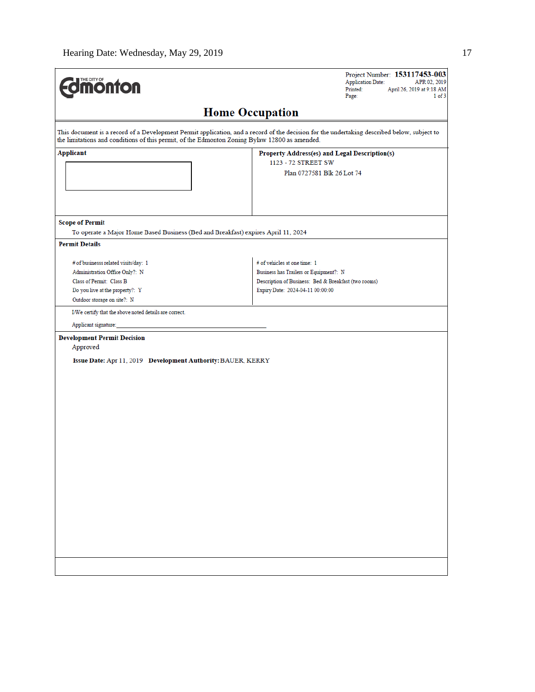| <b>Unicorrect Discovers</b>                                                                                                                                          | Project Number: 153117453-003<br><b>Application Date:</b><br>APR 02, 2019<br>Printed:<br>April 26, 2019 at 9:18 AM<br>1 of 3<br>Page:                              |  |  |
|----------------------------------------------------------------------------------------------------------------------------------------------------------------------|--------------------------------------------------------------------------------------------------------------------------------------------------------------------|--|--|
| <b>Home Occupation</b>                                                                                                                                               |                                                                                                                                                                    |  |  |
| the limitations and conditions of this permit, of the Edmonton Zoning Bylaw 12800 as amended.                                                                        | This document is a record of a Development Permit application, and a record of the decision for the undertaking described below, subject to                        |  |  |
| Applicant                                                                                                                                                            | Property Address(es) and Legal Description(s)<br>1123 - 72 STREET SW                                                                                               |  |  |
|                                                                                                                                                                      | Plan 0727581 Blk 26 Lot 74                                                                                                                                         |  |  |
| <b>Scope of Permit</b><br>To operate a Major Home Based Business (Bed and Breakfast) expires April 11, 2024                                                          |                                                                                                                                                                    |  |  |
| <b>Permit Details</b>                                                                                                                                                |                                                                                                                                                                    |  |  |
| # of businesss related visits/day: 1<br>Administration Office Only?: N<br>Class of Permit: Class B<br>Do you live at the property?: Y<br>Outdoor storage on site?: N | # of vehicles at one time: 1<br>Business has Trailers or Equipment?: N<br>Description of Business: Bed & Breakfast (two rooms)<br>Expiry Date: 2024-04-11 00:00:00 |  |  |
| I/We certify that the above noted details are correct.                                                                                                               |                                                                                                                                                                    |  |  |
| Applicant signature:                                                                                                                                                 |                                                                                                                                                                    |  |  |
| <b>Development Permit Decision</b><br>Approved<br>Issue Date: Apr 11, 2019 Development Authority: BAUER, KERRY                                                       |                                                                                                                                                                    |  |  |
|                                                                                                                                                                      |                                                                                                                                                                    |  |  |
|                                                                                                                                                                      |                                                                                                                                                                    |  |  |
|                                                                                                                                                                      |                                                                                                                                                                    |  |  |
|                                                                                                                                                                      |                                                                                                                                                                    |  |  |
|                                                                                                                                                                      |                                                                                                                                                                    |  |  |
|                                                                                                                                                                      |                                                                                                                                                                    |  |  |
|                                                                                                                                                                      |                                                                                                                                                                    |  |  |
|                                                                                                                                                                      |                                                                                                                                                                    |  |  |
|                                                                                                                                                                      |                                                                                                                                                                    |  |  |
|                                                                                                                                                                      |                                                                                                                                                                    |  |  |
|                                                                                                                                                                      |                                                                                                                                                                    |  |  |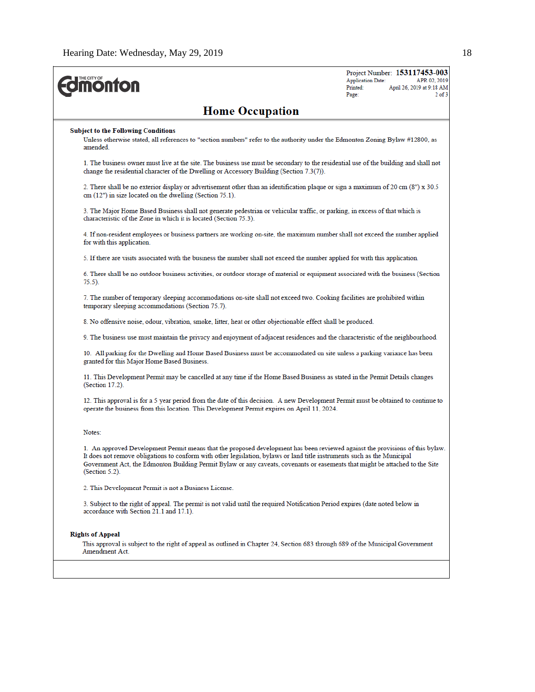| <b>Home Occupation</b><br><b>Subject to the Following Conditions</b><br>Unless otherwise stated, all references to "section numbers" refer to the authority under the Edmonton Zoning Bylaw #12800, as<br>amended.<br>1. The business owner must live at the site. The business use must be secondary to the residential use of the building and shall not<br>change the residential character of the Dwelling or Accessory Building (Section 7.3(7)).<br>2. There shall be no exterior display or advertisement other than an identification plaque or sign a maximum of 20 cm (8") x 30.5<br>cm (12") in size located on the dwelling (Section 75.1).<br>3. The Major Home Based Business shall not generate pedestrian or vehicular traffic, or parking, in excess of that which is<br>characteristic of the Zone in which it is located (Section 75.3).<br>4. If non-resident employees or business partners are working on-site, the maximum number shall not exceed the number applied<br>for with this application.<br>5. If there are visits associated with the business the number shall not exceed the number applied for with this application.<br>6. There shall be no outdoor business activities, or outdoor storage of material or equipment associated with the business (Section<br>$75.5$ ).<br>7. The number of temporary sleeping accommodations on-site shall not exceed two. Cooking facilities are prohibited within<br>temporary sleeping accommodations (Section 75.7).<br>8. No offensive noise, odour, vibration, smoke, litter, heat or other objectionable effect shall be produced.<br>9. The business use must maintain the privacy and enjoyment of adjacent residences and the characteristic of the neighbourhood.<br>10. All parking for the Dwelling and Home Based Business must be accommodated on site unless a parking variance has been<br>granted for this Major Home Based Business.<br>11. This Development Permit may be cancelled at any time if the Home Based Business as stated in the Permit Details changes<br>(Section 17.2).<br>12. This approval is for a 5 year period from the date of this decision. A new Development Permit must be obtained to continue to<br>operate the business from this location. This Development Permit expires on April 11, 2024.<br>Notes:<br>1. An approved Development Permit means that the proposed development has been reviewed against the provisions of this bylaw.<br>It does not remove obligations to conform with other legislation, bylaws or land title instruments such as the Municipal<br>Government Act, the Edmonton Building Permit Bylaw or any caveats, covenants or easements that might be attached to the Site<br>(Section 5.2).<br>2. This Development Permit is not a Business License.<br>3. Subject to the right of appeal. The permit is not valid until the required Notification Period expires (date noted below in<br>accordance with Section 21.1 and 17.1). | <b><i><u><u><b>MONTON</b></u></u></i></b> | Project Number: 153117453-003<br><b>Application Date:</b><br>APR 02, 2019<br>Printed:<br>April 26, 2019 at 9:18 AM<br>$2$ of $3$<br>Page: |  |  |
|---------------------------------------------------------------------------------------------------------------------------------------------------------------------------------------------------------------------------------------------------------------------------------------------------------------------------------------------------------------------------------------------------------------------------------------------------------------------------------------------------------------------------------------------------------------------------------------------------------------------------------------------------------------------------------------------------------------------------------------------------------------------------------------------------------------------------------------------------------------------------------------------------------------------------------------------------------------------------------------------------------------------------------------------------------------------------------------------------------------------------------------------------------------------------------------------------------------------------------------------------------------------------------------------------------------------------------------------------------------------------------------------------------------------------------------------------------------------------------------------------------------------------------------------------------------------------------------------------------------------------------------------------------------------------------------------------------------------------------------------------------------------------------------------------------------------------------------------------------------------------------------------------------------------------------------------------------------------------------------------------------------------------------------------------------------------------------------------------------------------------------------------------------------------------------------------------------------------------------------------------------------------------------------------------------------------------------------------------------------------------------------------------------------------------------------------------------------------------------------------------------------------------------------------------------------------------------------------------------------------------------------------------------------------------------------------------------------------------------------------------------------------------------------------------------------------------------------------------------------------------------------------------------------------------------------------------------------------------------------|-------------------------------------------|-------------------------------------------------------------------------------------------------------------------------------------------|--|--|
|                                                                                                                                                                                                                                                                                                                                                                                                                                                                                                                                                                                                                                                                                                                                                                                                                                                                                                                                                                                                                                                                                                                                                                                                                                                                                                                                                                                                                                                                                                                                                                                                                                                                                                                                                                                                                                                                                                                                                                                                                                                                                                                                                                                                                                                                                                                                                                                                                                                                                                                                                                                                                                                                                                                                                                                                                                                                                                                                                                                       |                                           |                                                                                                                                           |  |  |
|                                                                                                                                                                                                                                                                                                                                                                                                                                                                                                                                                                                                                                                                                                                                                                                                                                                                                                                                                                                                                                                                                                                                                                                                                                                                                                                                                                                                                                                                                                                                                                                                                                                                                                                                                                                                                                                                                                                                                                                                                                                                                                                                                                                                                                                                                                                                                                                                                                                                                                                                                                                                                                                                                                                                                                                                                                                                                                                                                                                       |                                           |                                                                                                                                           |  |  |
|                                                                                                                                                                                                                                                                                                                                                                                                                                                                                                                                                                                                                                                                                                                                                                                                                                                                                                                                                                                                                                                                                                                                                                                                                                                                                                                                                                                                                                                                                                                                                                                                                                                                                                                                                                                                                                                                                                                                                                                                                                                                                                                                                                                                                                                                                                                                                                                                                                                                                                                                                                                                                                                                                                                                                                                                                                                                                                                                                                                       |                                           |                                                                                                                                           |  |  |
|                                                                                                                                                                                                                                                                                                                                                                                                                                                                                                                                                                                                                                                                                                                                                                                                                                                                                                                                                                                                                                                                                                                                                                                                                                                                                                                                                                                                                                                                                                                                                                                                                                                                                                                                                                                                                                                                                                                                                                                                                                                                                                                                                                                                                                                                                                                                                                                                                                                                                                                                                                                                                                                                                                                                                                                                                                                                                                                                                                                       |                                           |                                                                                                                                           |  |  |
|                                                                                                                                                                                                                                                                                                                                                                                                                                                                                                                                                                                                                                                                                                                                                                                                                                                                                                                                                                                                                                                                                                                                                                                                                                                                                                                                                                                                                                                                                                                                                                                                                                                                                                                                                                                                                                                                                                                                                                                                                                                                                                                                                                                                                                                                                                                                                                                                                                                                                                                                                                                                                                                                                                                                                                                                                                                                                                                                                                                       |                                           |                                                                                                                                           |  |  |
|                                                                                                                                                                                                                                                                                                                                                                                                                                                                                                                                                                                                                                                                                                                                                                                                                                                                                                                                                                                                                                                                                                                                                                                                                                                                                                                                                                                                                                                                                                                                                                                                                                                                                                                                                                                                                                                                                                                                                                                                                                                                                                                                                                                                                                                                                                                                                                                                                                                                                                                                                                                                                                                                                                                                                                                                                                                                                                                                                                                       |                                           |                                                                                                                                           |  |  |
|                                                                                                                                                                                                                                                                                                                                                                                                                                                                                                                                                                                                                                                                                                                                                                                                                                                                                                                                                                                                                                                                                                                                                                                                                                                                                                                                                                                                                                                                                                                                                                                                                                                                                                                                                                                                                                                                                                                                                                                                                                                                                                                                                                                                                                                                                                                                                                                                                                                                                                                                                                                                                                                                                                                                                                                                                                                                                                                                                                                       |                                           |                                                                                                                                           |  |  |
|                                                                                                                                                                                                                                                                                                                                                                                                                                                                                                                                                                                                                                                                                                                                                                                                                                                                                                                                                                                                                                                                                                                                                                                                                                                                                                                                                                                                                                                                                                                                                                                                                                                                                                                                                                                                                                                                                                                                                                                                                                                                                                                                                                                                                                                                                                                                                                                                                                                                                                                                                                                                                                                                                                                                                                                                                                                                                                                                                                                       |                                           |                                                                                                                                           |  |  |
|                                                                                                                                                                                                                                                                                                                                                                                                                                                                                                                                                                                                                                                                                                                                                                                                                                                                                                                                                                                                                                                                                                                                                                                                                                                                                                                                                                                                                                                                                                                                                                                                                                                                                                                                                                                                                                                                                                                                                                                                                                                                                                                                                                                                                                                                                                                                                                                                                                                                                                                                                                                                                                                                                                                                                                                                                                                                                                                                                                                       |                                           |                                                                                                                                           |  |  |
|                                                                                                                                                                                                                                                                                                                                                                                                                                                                                                                                                                                                                                                                                                                                                                                                                                                                                                                                                                                                                                                                                                                                                                                                                                                                                                                                                                                                                                                                                                                                                                                                                                                                                                                                                                                                                                                                                                                                                                                                                                                                                                                                                                                                                                                                                                                                                                                                                                                                                                                                                                                                                                                                                                                                                                                                                                                                                                                                                                                       |                                           |                                                                                                                                           |  |  |
|                                                                                                                                                                                                                                                                                                                                                                                                                                                                                                                                                                                                                                                                                                                                                                                                                                                                                                                                                                                                                                                                                                                                                                                                                                                                                                                                                                                                                                                                                                                                                                                                                                                                                                                                                                                                                                                                                                                                                                                                                                                                                                                                                                                                                                                                                                                                                                                                                                                                                                                                                                                                                                                                                                                                                                                                                                                                                                                                                                                       |                                           |                                                                                                                                           |  |  |
|                                                                                                                                                                                                                                                                                                                                                                                                                                                                                                                                                                                                                                                                                                                                                                                                                                                                                                                                                                                                                                                                                                                                                                                                                                                                                                                                                                                                                                                                                                                                                                                                                                                                                                                                                                                                                                                                                                                                                                                                                                                                                                                                                                                                                                                                                                                                                                                                                                                                                                                                                                                                                                                                                                                                                                                                                                                                                                                                                                                       |                                           |                                                                                                                                           |  |  |
|                                                                                                                                                                                                                                                                                                                                                                                                                                                                                                                                                                                                                                                                                                                                                                                                                                                                                                                                                                                                                                                                                                                                                                                                                                                                                                                                                                                                                                                                                                                                                                                                                                                                                                                                                                                                                                                                                                                                                                                                                                                                                                                                                                                                                                                                                                                                                                                                                                                                                                                                                                                                                                                                                                                                                                                                                                                                                                                                                                                       |                                           |                                                                                                                                           |  |  |
|                                                                                                                                                                                                                                                                                                                                                                                                                                                                                                                                                                                                                                                                                                                                                                                                                                                                                                                                                                                                                                                                                                                                                                                                                                                                                                                                                                                                                                                                                                                                                                                                                                                                                                                                                                                                                                                                                                                                                                                                                                                                                                                                                                                                                                                                                                                                                                                                                                                                                                                                                                                                                                                                                                                                                                                                                                                                                                                                                                                       |                                           |                                                                                                                                           |  |  |
|                                                                                                                                                                                                                                                                                                                                                                                                                                                                                                                                                                                                                                                                                                                                                                                                                                                                                                                                                                                                                                                                                                                                                                                                                                                                                                                                                                                                                                                                                                                                                                                                                                                                                                                                                                                                                                                                                                                                                                                                                                                                                                                                                                                                                                                                                                                                                                                                                                                                                                                                                                                                                                                                                                                                                                                                                                                                                                                                                                                       |                                           |                                                                                                                                           |  |  |
|                                                                                                                                                                                                                                                                                                                                                                                                                                                                                                                                                                                                                                                                                                                                                                                                                                                                                                                                                                                                                                                                                                                                                                                                                                                                                                                                                                                                                                                                                                                                                                                                                                                                                                                                                                                                                                                                                                                                                                                                                                                                                                                                                                                                                                                                                                                                                                                                                                                                                                                                                                                                                                                                                                                                                                                                                                                                                                                                                                                       |                                           |                                                                                                                                           |  |  |
|                                                                                                                                                                                                                                                                                                                                                                                                                                                                                                                                                                                                                                                                                                                                                                                                                                                                                                                                                                                                                                                                                                                                                                                                                                                                                                                                                                                                                                                                                                                                                                                                                                                                                                                                                                                                                                                                                                                                                                                                                                                                                                                                                                                                                                                                                                                                                                                                                                                                                                                                                                                                                                                                                                                                                                                                                                                                                                                                                                                       |                                           |                                                                                                                                           |  |  |
|                                                                                                                                                                                                                                                                                                                                                                                                                                                                                                                                                                                                                                                                                                                                                                                                                                                                                                                                                                                                                                                                                                                                                                                                                                                                                                                                                                                                                                                                                                                                                                                                                                                                                                                                                                                                                                                                                                                                                                                                                                                                                                                                                                                                                                                                                                                                                                                                                                                                                                                                                                                                                                                                                                                                                                                                                                                                                                                                                                                       |                                           |                                                                                                                                           |  |  |
| <b>Rights of Appeal</b>                                                                                                                                                                                                                                                                                                                                                                                                                                                                                                                                                                                                                                                                                                                                                                                                                                                                                                                                                                                                                                                                                                                                                                                                                                                                                                                                                                                                                                                                                                                                                                                                                                                                                                                                                                                                                                                                                                                                                                                                                                                                                                                                                                                                                                                                                                                                                                                                                                                                                                                                                                                                                                                                                                                                                                                                                                                                                                                                                               |                                           |                                                                                                                                           |  |  |
| This approval is subject to the right of appeal as outlined in Chapter 24, Section 683 through 689 of the Municipal Government<br>Amendment Act.                                                                                                                                                                                                                                                                                                                                                                                                                                                                                                                                                                                                                                                                                                                                                                                                                                                                                                                                                                                                                                                                                                                                                                                                                                                                                                                                                                                                                                                                                                                                                                                                                                                                                                                                                                                                                                                                                                                                                                                                                                                                                                                                                                                                                                                                                                                                                                                                                                                                                                                                                                                                                                                                                                                                                                                                                                      |                                           |                                                                                                                                           |  |  |
|                                                                                                                                                                                                                                                                                                                                                                                                                                                                                                                                                                                                                                                                                                                                                                                                                                                                                                                                                                                                                                                                                                                                                                                                                                                                                                                                                                                                                                                                                                                                                                                                                                                                                                                                                                                                                                                                                                                                                                                                                                                                                                                                                                                                                                                                                                                                                                                                                                                                                                                                                                                                                                                                                                                                                                                                                                                                                                                                                                                       |                                           |                                                                                                                                           |  |  |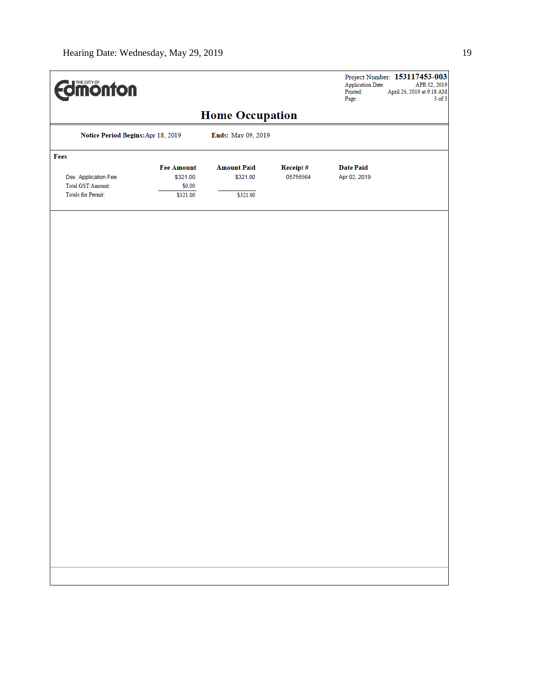| <b>Edinonton</b>                   |                   |                        | Project Number: 153117453-003<br><b>Application Date:</b><br>APR 02, 2019<br>Printed:<br>April 26, 2019 at $9{:}18~\mathrm{AM}$<br>Page:<br>$3$ of $3$ |                  |  |
|------------------------------------|-------------------|------------------------|--------------------------------------------------------------------------------------------------------------------------------------------------------|------------------|--|
|                                    |                   | <b>Home Occupation</b> |                                                                                                                                                        |                  |  |
| Notice Period Begins: Apr 18, 2019 |                   | Ends: May 09, 2019     |                                                                                                                                                        |                  |  |
| Fees                               |                   |                        |                                                                                                                                                        |                  |  |
|                                    | <b>Fee Amount</b> | <b>Amount Paid</b>     | Receipt#                                                                                                                                               | <b>Date Paid</b> |  |
| Dev. Application Fee               | \$321.00          | \$321.00               | 05756564                                                                                                                                               | Apr 02, 2019     |  |
| <b>Total GST Amount:</b>           | \$0.00            |                        |                                                                                                                                                        |                  |  |
| <b>Totals for Permit:</b>          | \$321.00          | \$321.00               |                                                                                                                                                        |                  |  |
|                                    |                   |                        |                                                                                                                                                        |                  |  |
|                                    |                   |                        |                                                                                                                                                        |                  |  |
|                                    |                   |                        |                                                                                                                                                        |                  |  |
|                                    |                   |                        |                                                                                                                                                        |                  |  |
|                                    |                   |                        |                                                                                                                                                        |                  |  |
|                                    |                   |                        |                                                                                                                                                        |                  |  |
|                                    |                   |                        |                                                                                                                                                        |                  |  |
|                                    |                   |                        |                                                                                                                                                        |                  |  |
|                                    |                   |                        |                                                                                                                                                        |                  |  |
|                                    |                   |                        |                                                                                                                                                        |                  |  |
|                                    |                   |                        |                                                                                                                                                        |                  |  |
|                                    |                   |                        |                                                                                                                                                        |                  |  |
|                                    |                   |                        |                                                                                                                                                        |                  |  |
|                                    |                   |                        |                                                                                                                                                        |                  |  |
|                                    |                   |                        |                                                                                                                                                        |                  |  |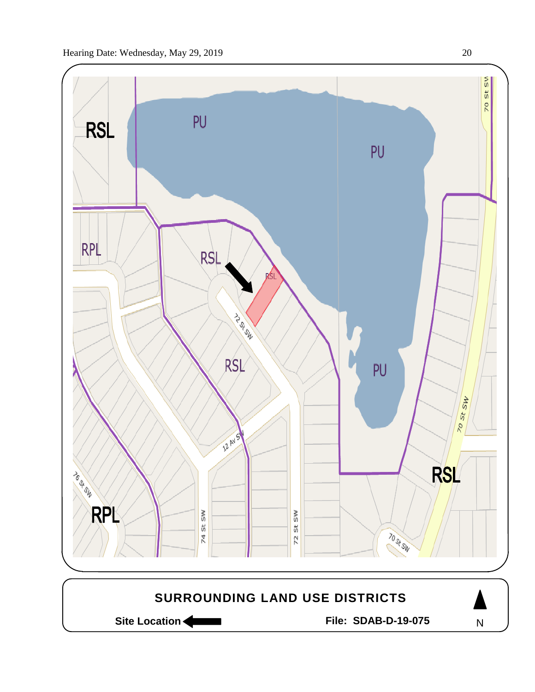

Site Location **Community Contracts** File: SDAB-D-19-075

N